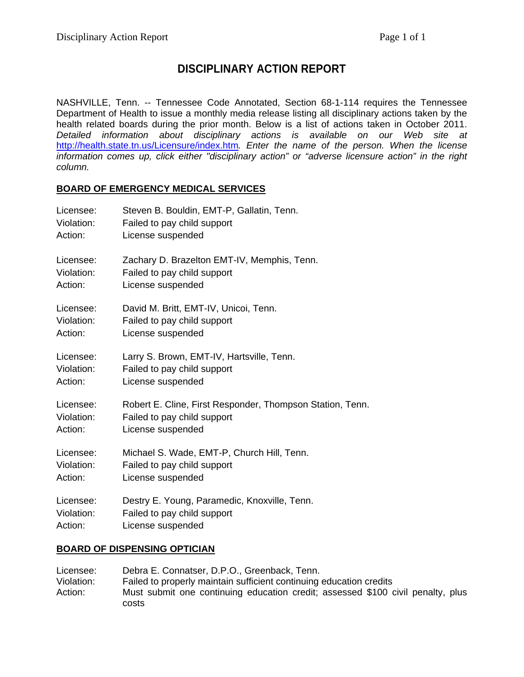# **DISCIPLINARY ACTION REPORT**

NASHVILLE, Tenn. -- Tennessee Code Annotated, Section 68-1-114 requires the Tennessee Department of Health to issue a monthly media release listing all disciplinary actions taken by the health related boards during the prior month. Below is a list of actions taken in October 2011. *Detailed information about disciplinary actions is available on our Web site at*  http://health.state.tn.us/Licensure/index.htm*. Enter the name of the person. When the license information comes up, click either "disciplinary action" or "adverse licensure action" in the right column.* 

#### **BOARD OF EMERGENCY MEDICAL SERVICES**

| Licensee:  | Steven B. Bouldin, EMT-P, Gallatin, Tenn.                 |
|------------|-----------------------------------------------------------|
| Violation: | Failed to pay child support                               |
| Action:    | License suspended                                         |
| Licensee:  | Zachary D. Brazelton EMT-IV, Memphis, Tenn.               |
| Violation: | Failed to pay child support                               |
| Action:    | License suspended                                         |
| Licensee:  | David M. Britt, EMT-IV, Unicoi, Tenn.                     |
| Violation: | Failed to pay child support                               |
| Action:    | License suspended                                         |
| Licensee:  | Larry S. Brown, EMT-IV, Hartsville, Tenn.                 |
| Violation: | Failed to pay child support                               |
| Action:    | License suspended                                         |
| Licensee:  | Robert E. Cline, First Responder, Thompson Station, Tenn. |
| Violation: | Failed to pay child support                               |
| Action:    | License suspended                                         |
| Licensee:  | Michael S. Wade, EMT-P, Church Hill, Tenn.                |
| Violation: | Failed to pay child support                               |
| Action:    | License suspended                                         |
| Licensee:  | Destry E. Young, Paramedic, Knoxville, Tenn.              |
| Violation: | Failed to pay child support                               |
| Action:    | License suspended                                         |

#### **BOARD OF DISPENSING OPTICIAN**

Licensee: Debra E. Connatser, D.P.O., Greenback, Tenn. Violation: Failed to properly maintain sufficient continuing education credits Action: Must submit one continuing education credit; assessed \$100 civil penalty, plus costs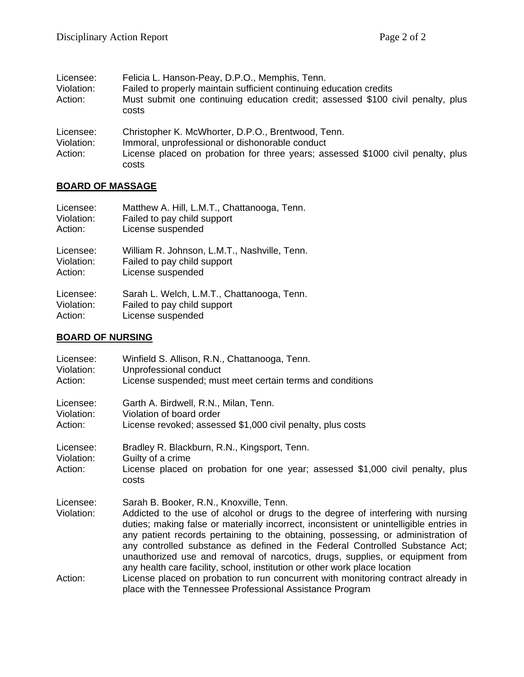| Licensee:<br>Violation:<br>Action: | Felicia L. Hanson-Peay, D.P.O., Memphis, Tenn.<br>Failed to properly maintain sufficient continuing education credits<br>Must submit one continuing education credit; assessed \$100 civil penalty, plus<br>costs |
|------------------------------------|-------------------------------------------------------------------------------------------------------------------------------------------------------------------------------------------------------------------|
| Licensee:<br>Violation:<br>Action: | Christopher K. McWhorter, D.P.O., Brentwood, Tenn.<br>Immoral, unprofessional or dishonorable conduct<br>License placed on probation for three years; assessed \$1000 civil penalty, plus<br>costs                |

# **BOARD OF MASSAGE**

| Licensee:  | Matthew A. Hill, L.M.T., Chattanooga, Tenn.  |
|------------|----------------------------------------------|
| Violation: | Failed to pay child support                  |
| Action:    | License suspended                            |
| Licensee:  | William R. Johnson, L.M.T., Nashville, Tenn. |
| Violation: | Failed to pay child support                  |
| Action:    | License suspended                            |
| Licensee:  | Sarah L. Welch, L.M.T., Chattanooga, Tenn.   |
| Violation: | Failed to pay child support                  |
| Action:    | License suspended                            |

### **BOARD OF NURSING**

| Licensee:<br>Violation:<br>Action: | Winfield S. Allison, R.N., Chattanooga, Tenn.<br>Unprofessional conduct<br>License suspended; must meet certain terms and conditions                                                                                                                                                                                                                                                                                                                                                                                                                        |
|------------------------------------|-------------------------------------------------------------------------------------------------------------------------------------------------------------------------------------------------------------------------------------------------------------------------------------------------------------------------------------------------------------------------------------------------------------------------------------------------------------------------------------------------------------------------------------------------------------|
| Licensee:<br>Violation:<br>Action: | Garth A. Birdwell, R.N., Milan, Tenn.<br>Violation of board order<br>License revoked; assessed \$1,000 civil penalty, plus costs                                                                                                                                                                                                                                                                                                                                                                                                                            |
| Licensee:<br>Violation:<br>Action: | Bradley R. Blackburn, R.N., Kingsport, Tenn.<br>Guilty of a crime<br>License placed on probation for one year; assessed \$1,000 civil penalty, plus<br>costs                                                                                                                                                                                                                                                                                                                                                                                                |
| Licensee:<br>Violation:            | Sarah B. Booker, R.N., Knoxville, Tenn.<br>Addicted to the use of alcohol or drugs to the degree of interfering with nursing<br>duties; making false or materially incorrect, inconsistent or unintelligible entries in<br>any patient records pertaining to the obtaining, possessing, or administration of<br>any controlled substance as defined in the Federal Controlled Substance Act;<br>unauthorized use and removal of narcotics, drugs, supplies, or equipment from<br>any health care facility, school, institution or other work place location |
| Action:                            | License placed on probation to run concurrent with monitoring contract already in<br>place with the Tennessee Professional Assistance Program                                                                                                                                                                                                                                                                                                                                                                                                               |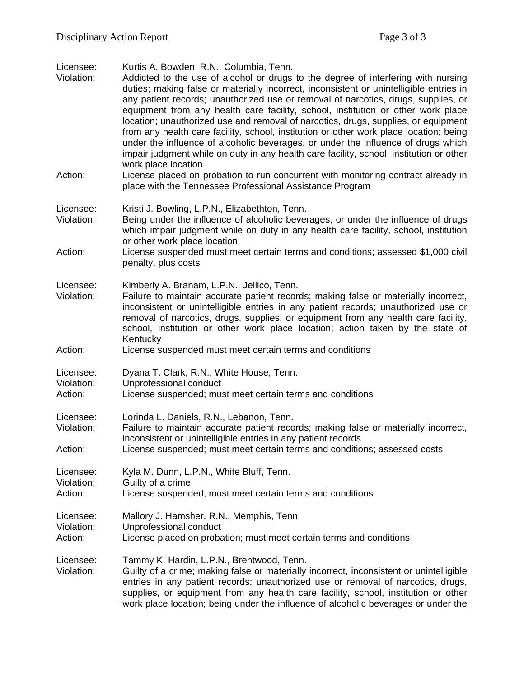Licensee: Kurtis A. Bowden, R.N., Columbia, Tenn.

- Violation: Addicted to the use of alcohol or drugs to the degree of interfering with nursing duties; making false or materially incorrect, inconsistent or unintelligible entries in any patient records; unauthorized use or removal of narcotics, drugs, supplies, or equipment from any health care facility, school, institution or other work place location; unauthorized use and removal of narcotics, drugs, supplies, or equipment from any health care facility, school, institution or other work place location; being under the influence of alcoholic beverages, or under the influence of drugs which impair judgment while on duty in any health care facility, school, institution or other work place location
- Action: License placed on probation to run concurrent with monitoring contract already in place with the Tennessee Professional Assistance Program
- Licensee: Kristi J. Bowling, L.P.N., Elizabethton, Tenn.
- Violation: Being under the influence of alcoholic beverages, or under the influence of drugs which impair judgment while on duty in any health care facility, school, institution or other work place location
- Action: License suspended must meet certain terms and conditions; assessed \$1,000 civil penalty, plus costs
- Licensee: Kimberly A. Branam, L.P.N., Jellico, Tenn.
- Violation: Failure to maintain accurate patient records; making false or materially incorrect, inconsistent or unintelligible entries in any patient records; unauthorized use or removal of narcotics, drugs, supplies, or equipment from any health care facility, school, institution or other work place location; action taken by the state of Kentucky
- Action: License suspended must meet certain terms and conditions
- Licensee: Dyana T. Clark, R.N., White House, Tenn.
- Violation: Unprofessional conduct
- Action: License suspended; must meet certain terms and conditions
- Licensee: Lorinda L. Daniels, R.N., Lebanon, Tenn.
- Violation: Failure to maintain accurate patient records; making false or materially incorrect, inconsistent or unintelligible entries in any patient records
- Action: License suspended; must meet certain terms and conditions; assessed costs

Licensee: Kyla M. Dunn, L.P.N., White Bluff, Tenn. Violation: Guilty of a crime

Action: License suspended; must meet certain terms and conditions

Licensee: Mallory J. Hamsher, R.N., Memphis, Tenn.

- Violation: Unprofessional conduct
- Action: License placed on probation; must meet certain terms and conditions
- Licensee: Tammy K. Hardin, L.P.N., Brentwood, Tenn.
- Violation: Guilty of a crime; making false or materially incorrect, inconsistent or unintelligible entries in any patient records; unauthorized use or removal of narcotics, drugs, supplies, or equipment from any health care facility, school, institution or other work place location; being under the influence of alcoholic beverages or under the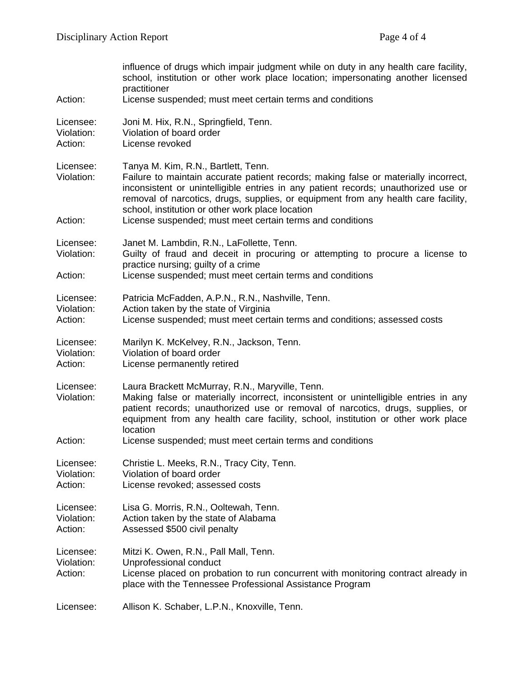| Action:                            | influence of drugs which impair judgment while on duty in any health care facility,<br>school, institution or other work place location; impersonating another licensed<br>practitioner<br>License suspended; must meet certain terms and conditions                                                                                                                                                                    |
|------------------------------------|-------------------------------------------------------------------------------------------------------------------------------------------------------------------------------------------------------------------------------------------------------------------------------------------------------------------------------------------------------------------------------------------------------------------------|
| Licensee:<br>Violation:<br>Action: | Joni M. Hix, R.N., Springfield, Tenn.<br>Violation of board order<br>License revoked                                                                                                                                                                                                                                                                                                                                    |
| Licensee:<br>Violation:<br>Action: | Tanya M. Kim, R.N., Bartlett, Tenn.<br>Failure to maintain accurate patient records; making false or materially incorrect,<br>inconsistent or unintelligible entries in any patient records; unauthorized use or<br>removal of narcotics, drugs, supplies, or equipment from any health care facility,<br>school, institution or other work place location<br>License suspended; must meet certain terms and conditions |
|                                    |                                                                                                                                                                                                                                                                                                                                                                                                                         |
| Licensee:<br>Violation:            | Janet M. Lambdin, R.N., LaFollette, Tenn.<br>Guilty of fraud and deceit in procuring or attempting to procure a license to                                                                                                                                                                                                                                                                                              |
| Action:                            | practice nursing; guilty of a crime<br>License suspended; must meet certain terms and conditions                                                                                                                                                                                                                                                                                                                        |
| Licensee:<br>Violation:<br>Action: | Patricia McFadden, A.P.N., R.N., Nashville, Tenn.<br>Action taken by the state of Virginia<br>License suspended; must meet certain terms and conditions; assessed costs                                                                                                                                                                                                                                                 |
| Licensee:<br>Violation:<br>Action: | Marilyn K. McKelvey, R.N., Jackson, Tenn.<br>Violation of board order<br>License permanently retired                                                                                                                                                                                                                                                                                                                    |
| Licensee:<br>Violation:<br>Action: | Laura Brackett McMurray, R.N., Maryville, Tenn.<br>Making false or materially incorrect, inconsistent or unintelligible entries in any<br>patient records; unauthorized use or removal of narcotics, drugs, supplies, or<br>equipment from any health care facility, school, institution or other work place<br>location<br>License suspended; must meet certain terms and conditions                                   |
|                                    |                                                                                                                                                                                                                                                                                                                                                                                                                         |
| Licensee:<br>Violation:<br>Action: | Christie L. Meeks, R.N., Tracy City, Tenn.<br>Violation of board order<br>License revoked; assessed costs                                                                                                                                                                                                                                                                                                               |
| Licensee:<br>Violation:<br>Action: | Lisa G. Morris, R.N., Ooltewah, Tenn.<br>Action taken by the state of Alabama<br>Assessed \$500 civil penalty                                                                                                                                                                                                                                                                                                           |
| Licensee:<br>Violation:<br>Action: | Mitzi K. Owen, R.N., Pall Mall, Tenn.<br>Unprofessional conduct<br>License placed on probation to run concurrent with monitoring contract already in<br>place with the Tennessee Professional Assistance Program                                                                                                                                                                                                        |
| Licensee:                          | Allison K. Schaber, L.P.N., Knoxville, Tenn.                                                                                                                                                                                                                                                                                                                                                                            |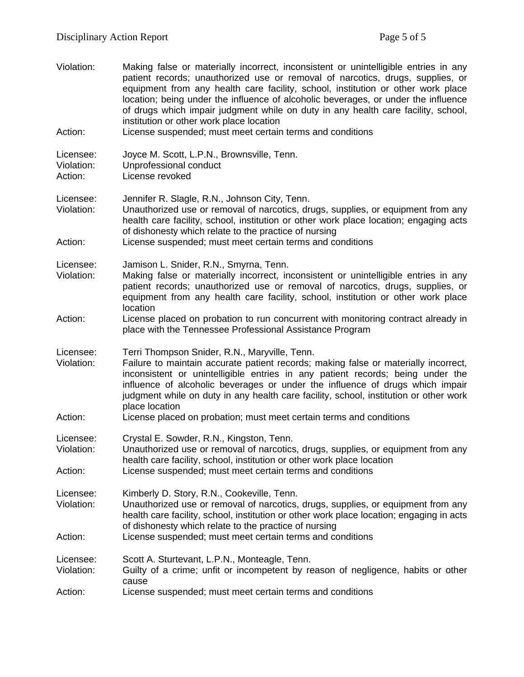| Violation:                         | Making false or materially incorrect, inconsistent or unintelligible entries in any<br>patient records; unauthorized use or removal of narcotics, drugs, supplies, or<br>equipment from any health care facility, school, institution or other work place<br>location; being under the influence of alcoholic beverages, or under the influence<br>of drugs which impair judgment while on duty in any health care facility, school,<br>institution or other work place location |
|------------------------------------|----------------------------------------------------------------------------------------------------------------------------------------------------------------------------------------------------------------------------------------------------------------------------------------------------------------------------------------------------------------------------------------------------------------------------------------------------------------------------------|
| Action:                            | License suspended; must meet certain terms and conditions                                                                                                                                                                                                                                                                                                                                                                                                                        |
| Licensee:<br>Violation:<br>Action: | Joyce M. Scott, L.P.N., Brownsville, Tenn.<br>Unprofessional conduct<br>License revoked                                                                                                                                                                                                                                                                                                                                                                                          |
| Licensee:<br>Violation:            | Jennifer R. Slagle, R.N., Johnson City, Tenn.<br>Unauthorized use or removal of narcotics, drugs, supplies, or equipment from any<br>health care facility, school, institution or other work place location; engaging acts<br>of dishonesty which relate to the practice of nursing                                                                                                                                                                                              |
| Action:                            | License suspended; must meet certain terms and conditions                                                                                                                                                                                                                                                                                                                                                                                                                        |
| Licensee:<br>Violation:            | Jamison L. Snider, R.N., Smyrna, Tenn.<br>Making false or materially incorrect, inconsistent or unintelligible entries in any<br>patient records; unauthorized use or removal of narcotics, drugs, supplies, or<br>equipment from any health care facility, school, institution or other work place<br>location                                                                                                                                                                  |
| Action:                            | License placed on probation to run concurrent with monitoring contract already in<br>place with the Tennessee Professional Assistance Program                                                                                                                                                                                                                                                                                                                                    |
| Licensee:<br>Violation:            | Terri Thompson Snider, R.N., Maryville, Tenn.<br>Failure to maintain accurate patient records; making false or materially incorrect,<br>inconsistent or unintelligible entries in any patient records; being under the<br>influence of alcoholic beverages or under the influence of drugs which impair<br>judgment while on duty in any health care facility, school, institution or other work<br>place location                                                               |
| Action:                            | License placed on probation; must meet certain terms and conditions                                                                                                                                                                                                                                                                                                                                                                                                              |
| Licensee:<br>Violation:            | Crystal E. Sowder, R.N., Kingston, Tenn.<br>Unauthorized use or removal of narcotics, drugs, supplies, or equipment from any<br>health care facility, school, institution or other work place location                                                                                                                                                                                                                                                                           |
| Action:                            | License suspended; must meet certain terms and conditions                                                                                                                                                                                                                                                                                                                                                                                                                        |
| Licensee:<br>Violation:            | Kimberly D. Story, R.N., Cookeville, Tenn.<br>Unauthorized use or removal of narcotics, drugs, supplies, or equipment from any<br>health care facility, school, institution or other work place location; engaging in acts<br>of dishonesty which relate to the practice of nursing                                                                                                                                                                                              |
| Action:                            | License suspended; must meet certain terms and conditions                                                                                                                                                                                                                                                                                                                                                                                                                        |
| Licensee:<br>Violation:            | Scott A. Sturtevant, L.P.N., Monteagle, Tenn.<br>Guilty of a crime; unfit or incompetent by reason of negligence, habits or other<br>cause                                                                                                                                                                                                                                                                                                                                       |
| Action:                            | License suspended; must meet certain terms and conditions                                                                                                                                                                                                                                                                                                                                                                                                                        |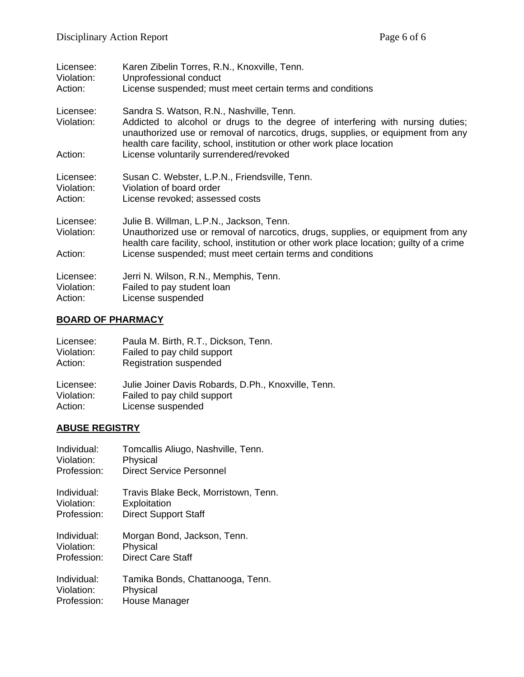| Licensee:<br>Violation:<br>Action: | Karen Zibelin Torres, R.N., Knoxville, Tenn.<br>Unprofessional conduct<br>License suspended; must meet certain terms and conditions                                                                                                                                                                                                 |
|------------------------------------|-------------------------------------------------------------------------------------------------------------------------------------------------------------------------------------------------------------------------------------------------------------------------------------------------------------------------------------|
| Licensee:<br>Violation:<br>Action: | Sandra S. Watson, R.N., Nashville, Tenn.<br>Addicted to alcohol or drugs to the degree of interfering with nursing duties;<br>unauthorized use or removal of narcotics, drugs, supplies, or equipment from any<br>health care facility, school, institution or other work place location<br>License voluntarily surrendered/revoked |
|                                    |                                                                                                                                                                                                                                                                                                                                     |
| Licensee:<br>Violation:<br>Action: | Susan C. Webster, L.P.N., Friendsville, Tenn.<br>Violation of board order<br>License revoked; assessed costs                                                                                                                                                                                                                        |
| Licensee:<br>Violation:            | Julie B. Willman, L.P.N., Jackson, Tenn.<br>Unauthorized use or removal of narcotics, drugs, supplies, or equipment from any<br>health care facility, school, institution or other work place location; guilty of a crime                                                                                                           |
| Action:                            | License suspended; must meet certain terms and conditions                                                                                                                                                                                                                                                                           |
| Licensee:<br>Violation:<br>Action: | Jerri N. Wilson, R.N., Memphis, Tenn.<br>Failed to pay student loan<br>License suspended                                                                                                                                                                                                                                            |

# **BOARD OF PHARMACY**

| Licensee:  | Paula M. Birth, R.T., Dickson, Tenn.                |
|------------|-----------------------------------------------------|
| Violation: | Failed to pay child support                         |
| Action:    | Registration suspended                              |
| Licensee:  | Julie Joiner Davis Robards, D.Ph., Knoxville, Tenn. |
| Violation: | Failed to pay child support                         |
| Action:    | License suspended                                   |

### **ABUSE REGISTRY**

| Individual: | Tomcallis Aliugo, Nashville, Tenn.   |
|-------------|--------------------------------------|
| Violation:  | Physical                             |
| Profession: | <b>Direct Service Personnel</b>      |
| Individual: | Travis Blake Beck, Morristown, Tenn. |
| Violation:  | Exploitation                         |
| Profession: | <b>Direct Support Staff</b>          |
| Individual: | Morgan Bond, Jackson, Tenn.          |
| Violation:  | Physical                             |
| Profession: | <b>Direct Care Staff</b>             |
| Individual: | Tamika Bonds, Chattanooga, Tenn.     |
| Violation:  | Physical                             |
| Profession: | House Manager                        |